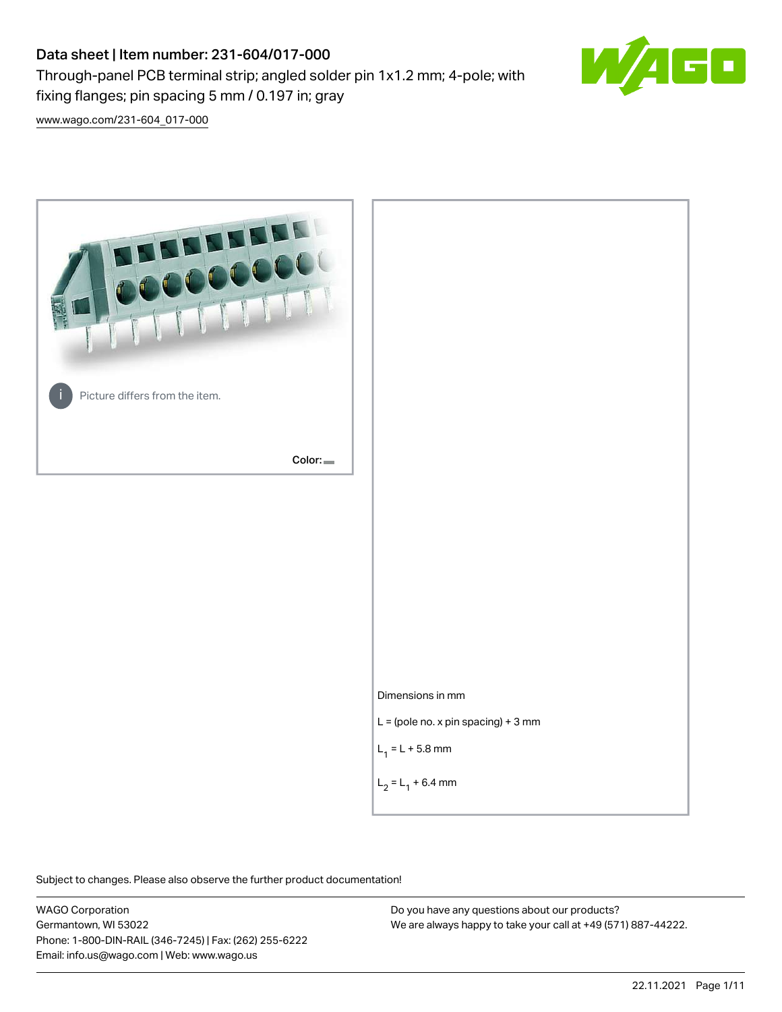# Data sheet | Item number: 231-604/017-000

fixing flanges; pin spacing 5 mm / 0.197 in; gray

Through-panel PCB terminal strip; angled solder pin 1x1.2 mm; 4-pole; with



[www.wago.com/231-604\\_017-000](http://www.wago.com/231-604_017-000)



Subject to changes. Please also observe the further product documentation!

WAGO Corporation Germantown, WI 53022 Phone: 1-800-DIN-RAIL (346-7245) | Fax: (262) 255-6222 Email: info.us@wago.com | Web: www.wago.us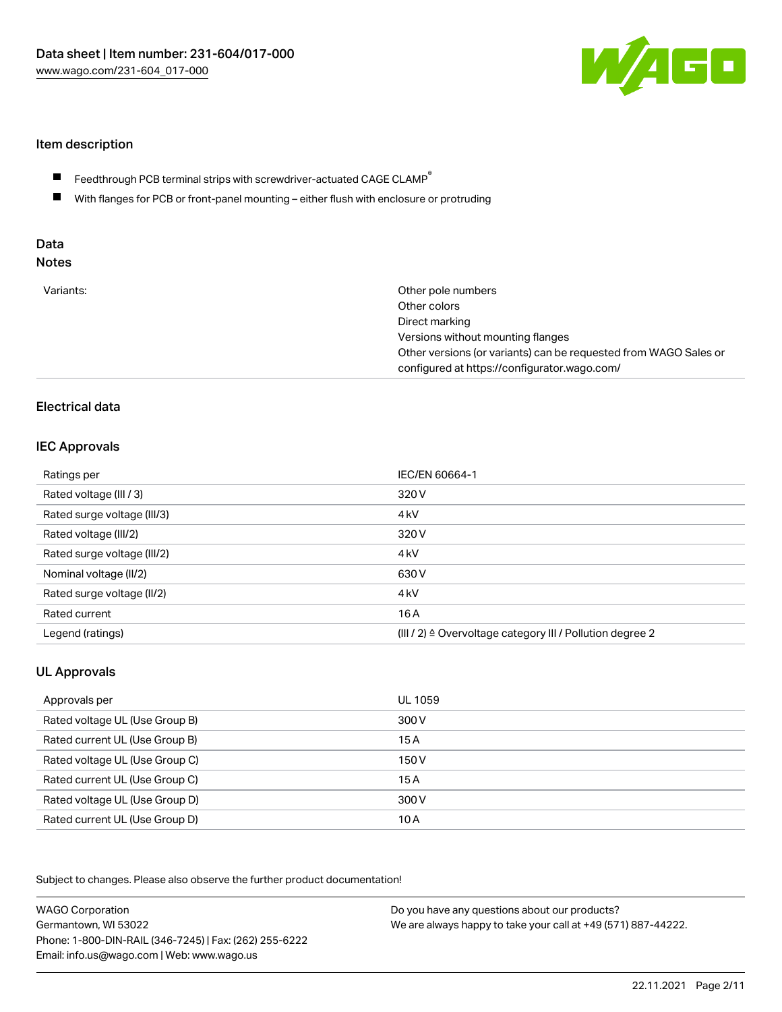

#### Item description

- Feedthrough PCB terminal strips with screwdriver-actuated CAGE CLAMP $^\circ$  $\blacksquare$
- $\blacksquare$ With flanges for PCB or front-panel mounting – either flush with enclosure or protruding

# Data

| Variants:<br>Other pole numbers<br>Other colors<br>Direct marking<br>Versions without mounting flanges<br>Other versions (or variants) can be requested from WAGO Sales or<br>configured at https://configurator.wago.com/ |  |
|----------------------------------------------------------------------------------------------------------------------------------------------------------------------------------------------------------------------------|--|
|----------------------------------------------------------------------------------------------------------------------------------------------------------------------------------------------------------------------------|--|

# Electrical data

#### IEC Approvals

| Ratings per                 | IEC/EN 60664-1                                                        |
|-----------------------------|-----------------------------------------------------------------------|
| Rated voltage (III / 3)     | 320 V                                                                 |
| Rated surge voltage (III/3) | 4 <sub>k</sub> V                                                      |
| Rated voltage (III/2)       | 320 V                                                                 |
| Rated surge voltage (III/2) | 4 <sub>k</sub> V                                                      |
| Nominal voltage (II/2)      | 630 V                                                                 |
| Rated surge voltage (II/2)  | 4 <sub>k</sub> V                                                      |
| Rated current               | 16A                                                                   |
| Legend (ratings)            | $(III / 2)$ $\triangle$ Overvoltage category III / Pollution degree 2 |

# UL Approvals

| Approvals per                  | UL 1059 |
|--------------------------------|---------|
| Rated voltage UL (Use Group B) | 300 V   |
| Rated current UL (Use Group B) | 15 A    |
| Rated voltage UL (Use Group C) | 150 V   |
| Rated current UL (Use Group C) | 15A     |
| Rated voltage UL (Use Group D) | 300 V   |
| Rated current UL (Use Group D) | 10 A    |

Subject to changes. Please also observe the further product documentation!

| <b>WAGO Corporation</b>                                | Do you have any questions about our products?                 |
|--------------------------------------------------------|---------------------------------------------------------------|
| Germantown, WI 53022                                   | We are always happy to take your call at +49 (571) 887-44222. |
| Phone: 1-800-DIN-RAIL (346-7245)   Fax: (262) 255-6222 |                                                               |
| Email: info.us@wago.com   Web: www.wago.us             |                                                               |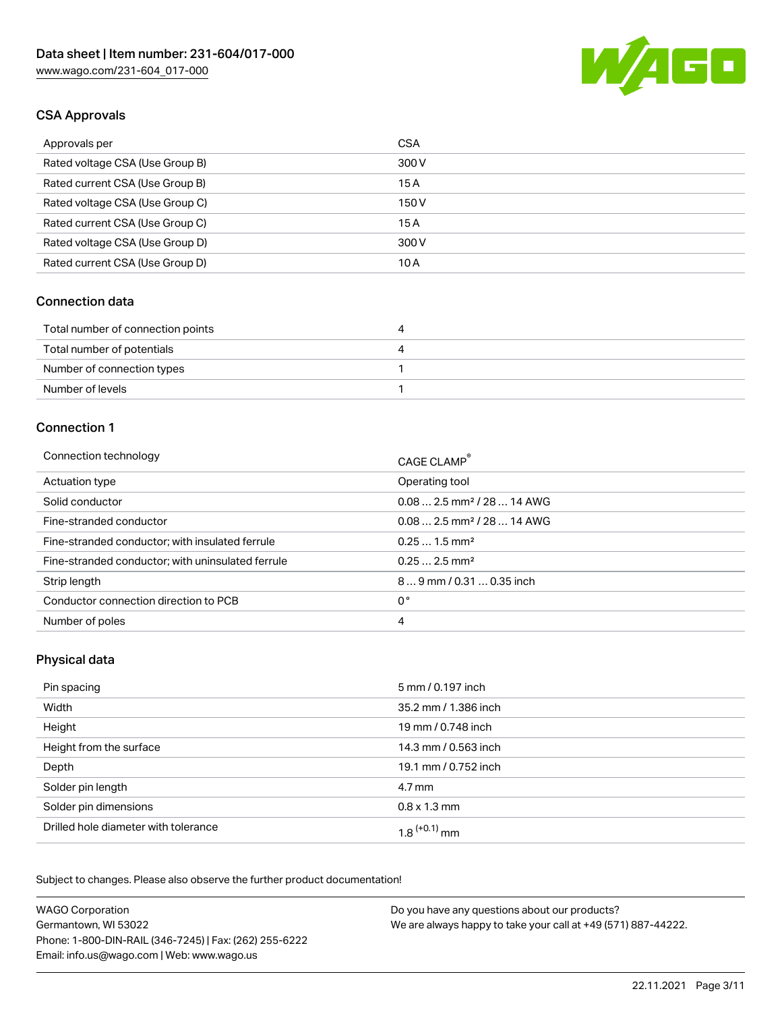

## CSA Approvals

| Approvals per                   | <b>CSA</b> |
|---------------------------------|------------|
| Rated voltage CSA (Use Group B) | 300 V      |
| Rated current CSA (Use Group B) | 15 A       |
| Rated voltage CSA (Use Group C) | 150 V      |
| Rated current CSA (Use Group C) | 15 A       |
| Rated voltage CSA (Use Group D) | 300 V      |
| Rated current CSA (Use Group D) | 10 A       |

#### Connection data

| Total number of connection points | 21 |
|-----------------------------------|----|
| Total number of potentials        | ப  |
| Number of connection types        |    |
| Number of levels                  |    |

#### Connection 1

| Connection technology                             | CAGE CLAMP <sup>®</sup>                 |
|---------------------------------------------------|-----------------------------------------|
| Actuation type                                    | Operating tool                          |
| Solid conductor                                   | $0.08$ 2.5 mm <sup>2</sup> / 28  14 AWG |
| Fine-stranded conductor                           | $0.08$ 2.5 mm <sup>2</sup> / 28  14 AWG |
| Fine-stranded conductor; with insulated ferrule   | $0.251.5$ mm <sup>2</sup>               |
| Fine-stranded conductor; with uninsulated ferrule | $0.252.5$ mm <sup>2</sup>               |
| Strip length                                      | $89$ mm / 0.31  0.35 inch               |
| Conductor connection direction to PCB             | 0°                                      |
| Number of poles                                   | 4                                       |
|                                                   |                                         |

#### Physical data

| Pin spacing                          | 5 mm / 0.197 inch    |
|--------------------------------------|----------------------|
| Width                                | 35.2 mm / 1.386 inch |
| Height                               | 19 mm / 0.748 inch   |
| Height from the surface              | 14.3 mm / 0.563 inch |
| Depth                                | 19.1 mm / 0.752 inch |
| Solder pin length                    | 4.7 mm               |
| Solder pin dimensions                | $0.8 \times 1.3$ mm  |
| Drilled hole diameter with tolerance | $1.8$ $(+0.1)$ mm    |

Subject to changes. Please also observe the further product documentation! Mechanical data

| <b>WAGO Corporation</b>                                | Do you have any questions about our products?                 |
|--------------------------------------------------------|---------------------------------------------------------------|
| Germantown, WI 53022                                   | We are always happy to take your call at +49 (571) 887-44222. |
| Phone: 1-800-DIN-RAIL (346-7245)   Fax: (262) 255-6222 |                                                               |
| Email: info.us@wago.com   Web: www.wago.us             |                                                               |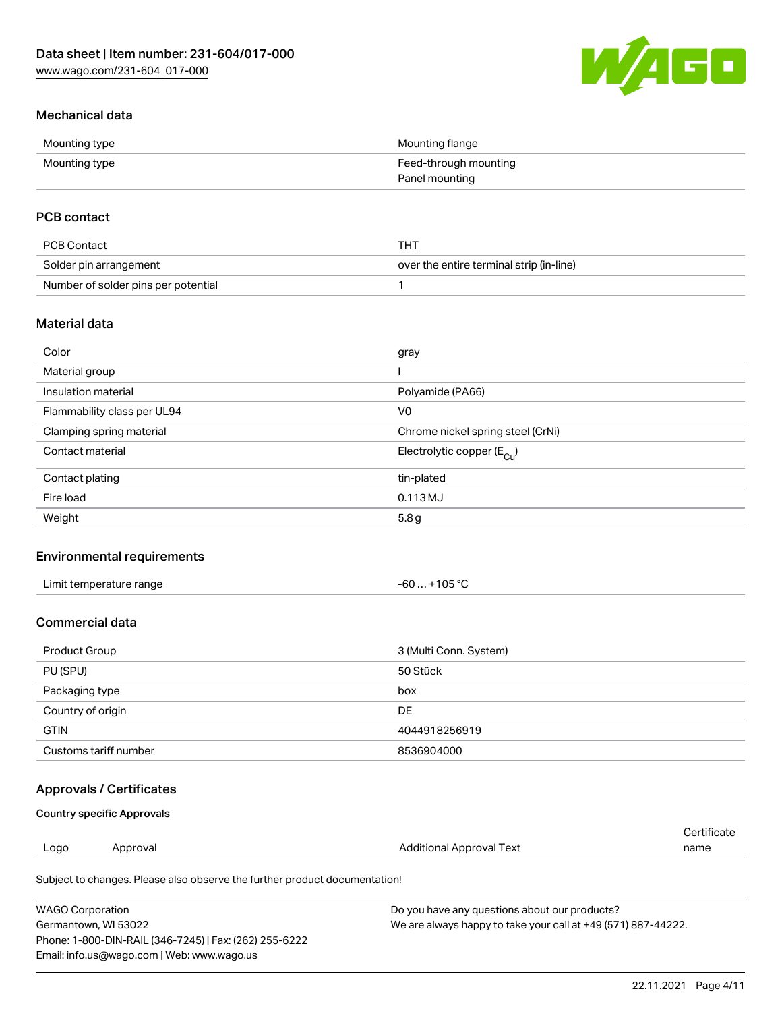

### Mechanical data

| Mounting type | Mounting flange       |
|---------------|-----------------------|
| Mounting type | Feed-through mounting |
|               | Panel mounting        |

### PCB contact

| PCB Contact                         | THT                                      |
|-------------------------------------|------------------------------------------|
| Solder pin arrangement              | over the entire terminal strip (in-line) |
| Number of solder pins per potential |                                          |

#### Material data

| Color                       | gray                                  |
|-----------------------------|---------------------------------------|
| Material group              |                                       |
| Insulation material         | Polyamide (PA66)                      |
| Flammability class per UL94 | V <sub>0</sub>                        |
| Clamping spring material    | Chrome nickel spring steel (CrNi)     |
| Contact material            | Electrolytic copper $(E_{\text{Cu}})$ |
| Contact plating             | tin-plated                            |
| Fire load                   | 0.113 MJ                              |
| Weight                      | 5.8g                                  |

#### Environmental requirements

| Limit temperature range<br>. | . +105 ℃<br>$-60$ |  |
|------------------------------|-------------------|--|
|------------------------------|-------------------|--|

#### Commercial data

| Product Group         | 3 (Multi Conn. System) |
|-----------------------|------------------------|
| PU (SPU)              | 50 Stück               |
| Packaging type        | box                    |
| Country of origin     | DE                     |
| <b>GTIN</b>           | 4044918256919          |
| Customs tariff number | 8536904000             |

#### Approvals / Certificates

#### Country specific Approvals

|      |          |                          | Certificate |
|------|----------|--------------------------|-------------|
| Logo | Approval | Additional Approval Text | name        |
|      |          |                          |             |

Subject to changes. Please also observe the further product documentation!

| WAGO Corporation                                       | Do you have any questions about our products?                 |
|--------------------------------------------------------|---------------------------------------------------------------|
| Germantown. WI 53022                                   | We are always happy to take your call at +49 (571) 887-44222. |
| Phone: 1-800-DIN-RAIL (346-7245)   Fax: (262) 255-6222 |                                                               |
| Email: info.us@wago.com   Web: www.wago.us             |                                                               |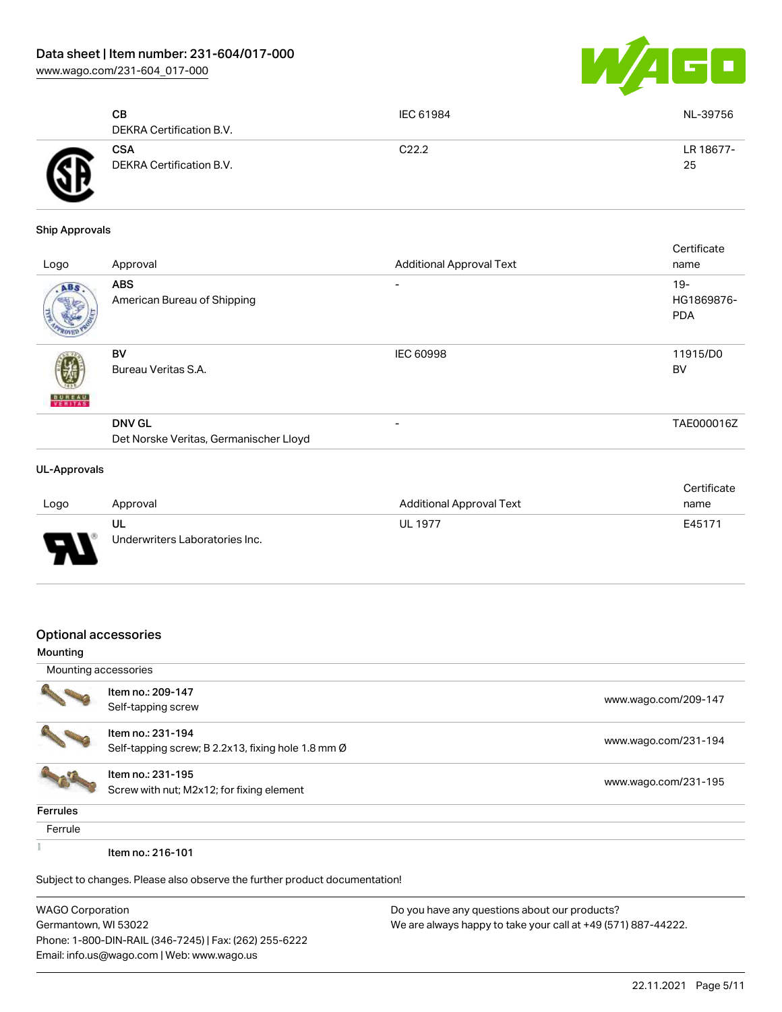[www.wago.com/231-604\\_017-000](http://www.wago.com/231-604_017-000)



|   | CВ<br>DEKRA Certification B.V.         | IEC 61984         | NL-39756        |
|---|----------------------------------------|-------------------|-----------------|
| A | <b>CSA</b><br>DEKRA Certification B.V. | C <sub>22.2</sub> | LR 18677-<br>25 |

#### Ship Approvals

| Logo                     | Approval                                                | <b>Additional Approval Text</b> | Certificate<br>name                |
|--------------------------|---------------------------------------------------------|---------------------------------|------------------------------------|
| ABS.                     | <b>ABS</b><br>American Bureau of Shipping               |                                 | $19 -$<br>HG1869876-<br><b>PDA</b> |
| <b>BUREAU</b><br>VERITAS | BV<br>Bureau Veritas S.A.                               | <b>IEC 60998</b>                | 11915/D0<br>BV                     |
|                          | <b>DNV GL</b><br>Det Norske Veritas, Germanischer Lloyd | $\overline{\phantom{a}}$        | TAE000016Z                         |
| <b>UL-Approvals</b>      |                                                         |                                 |                                    |

#### Logo Approval And American Approval Additional Approval Text **Certificate** name UL Underwriters Laboratories Inc. UL 1977 **E45171**

#### Optional accessories

| Mounting             |                                                                            |                      |
|----------------------|----------------------------------------------------------------------------|----------------------|
| Mounting accessories |                                                                            |                      |
|                      | Item no.: 209-147<br>Self-tapping screw                                    | www.wago.com/209-147 |
|                      | Item no.: 231-194<br>Self-tapping screw; B 2.2x13, fixing hole 1.8 mm Ø    | www.wago.com/231-194 |
|                      | Item no.: 231-195<br>Screw with nut; M2x12; for fixing element             | www.wago.com/231-195 |
| Ferrules             |                                                                            |                      |
| Ferrule              |                                                                            |                      |
|                      | Item no.: 216-101                                                          |                      |
|                      | Subject to changes. Please also observe the further product documentation! |                      |

WAGO Corporation Germantown, WI 53022 Phone: 1-800-DIN-RAIL (346-7245) | Fax: (262) 255-6222 Email: info.us@wago.com | Web: www.wago.us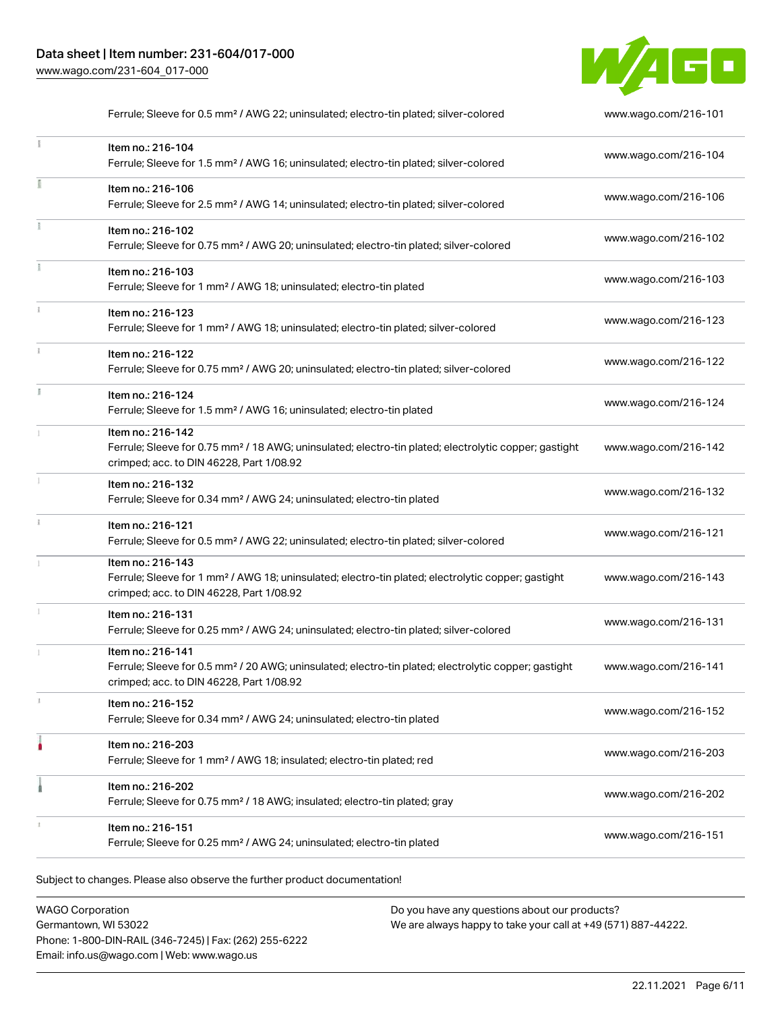

|    | Ferrule; Sleeve for 0.5 mm <sup>2</sup> / AWG 22; uninsulated; electro-tin plated; silver-colored                                                                                  | www.wago.com/216-101 |
|----|------------------------------------------------------------------------------------------------------------------------------------------------------------------------------------|----------------------|
|    | Item no.: 216-104<br>Ferrule; Sleeve for 1.5 mm <sup>2</sup> / AWG 16; uninsulated; electro-tin plated; silver-colored                                                             | www.wago.com/216-104 |
|    | Item no.: 216-106<br>Ferrule; Sleeve for 2.5 mm <sup>2</sup> / AWG 14; uninsulated; electro-tin plated; silver-colored                                                             | www.wago.com/216-106 |
| Ŧ. | Item no.: 216-102<br>Ferrule; Sleeve for 0.75 mm <sup>2</sup> / AWG 20; uninsulated; electro-tin plated; silver-colored                                                            | www.wago.com/216-102 |
|    | Item no.: 216-103<br>Ferrule; Sleeve for 1 mm <sup>2</sup> / AWG 18; uninsulated; electro-tin plated                                                                               | www.wago.com/216-103 |
|    | Item no.: 216-123<br>Ferrule; Sleeve for 1 mm <sup>2</sup> / AWG 18; uninsulated; electro-tin plated; silver-colored                                                               | www.wago.com/216-123 |
|    | Item no.: 216-122<br>Ferrule; Sleeve for 0.75 mm <sup>2</sup> / AWG 20; uninsulated; electro-tin plated; silver-colored                                                            | www.wago.com/216-122 |
|    | Item no.: 216-124<br>Ferrule; Sleeve for 1.5 mm <sup>2</sup> / AWG 16; uninsulated; electro-tin plated                                                                             | www.wago.com/216-124 |
|    | Item no.: 216-142<br>Ferrule; Sleeve for 0.75 mm <sup>2</sup> / 18 AWG; uninsulated; electro-tin plated; electrolytic copper; gastight<br>crimped; acc. to DIN 46228, Part 1/08.92 | www.wago.com/216-142 |
|    | Item no.: 216-132<br>Ferrule; Sleeve for 0.34 mm <sup>2</sup> / AWG 24; uninsulated; electro-tin plated                                                                            | www.wago.com/216-132 |
|    | Item no.: 216-121<br>Ferrule; Sleeve for 0.5 mm <sup>2</sup> / AWG 22; uninsulated; electro-tin plated; silver-colored                                                             | www.wago.com/216-121 |
|    | Item no.: 216-143<br>Ferrule; Sleeve for 1 mm <sup>2</sup> / AWG 18; uninsulated; electro-tin plated; electrolytic copper; gastight<br>crimped; acc. to DIN 46228, Part 1/08.92    | www.wago.com/216-143 |
|    | Item no.: 216-131<br>Ferrule; Sleeve for 0.25 mm <sup>2</sup> / AWG 24; uninsulated; electro-tin plated; silver-colored                                                            | www.wago.com/216-131 |
|    | Item no.: 216-141<br>Ferrule; Sleeve for 0.5 mm <sup>2</sup> / 20 AWG; uninsulated; electro-tin plated; electrolytic copper; gastight<br>crimped; acc. to DIN 46228, Part 1/08.92  | www.wago.com/216-141 |
|    | Item no.: 216-152<br>Ferrule; Sleeve for 0.34 mm <sup>2</sup> / AWG 24; uninsulated; electro-tin plated                                                                            | www.wago.com/216-152 |
|    | Item no.: 216-203<br>Ferrule; Sleeve for 1 mm <sup>2</sup> / AWG 18; insulated; electro-tin plated; red                                                                            | www.wago.com/216-203 |
|    | Item no.: 216-202<br>Ferrule; Sleeve for 0.75 mm <sup>2</sup> / 18 AWG; insulated; electro-tin plated; gray                                                                        | www.wago.com/216-202 |
|    | Item no.: 216-151<br>Ferrule; Sleeve for 0.25 mm <sup>2</sup> / AWG 24; uninsulated; electro-tin plated                                                                            | www.wago.com/216-151 |
|    |                                                                                                                                                                                    |                      |

Subject to changes. Please also observe the further product documentation!

WAGO Corporation Germantown, WI 53022 Phone: 1-800-DIN-RAIL (346-7245) | Fax: (262) 255-6222 Email: info.us@wago.com | Web: www.wago.us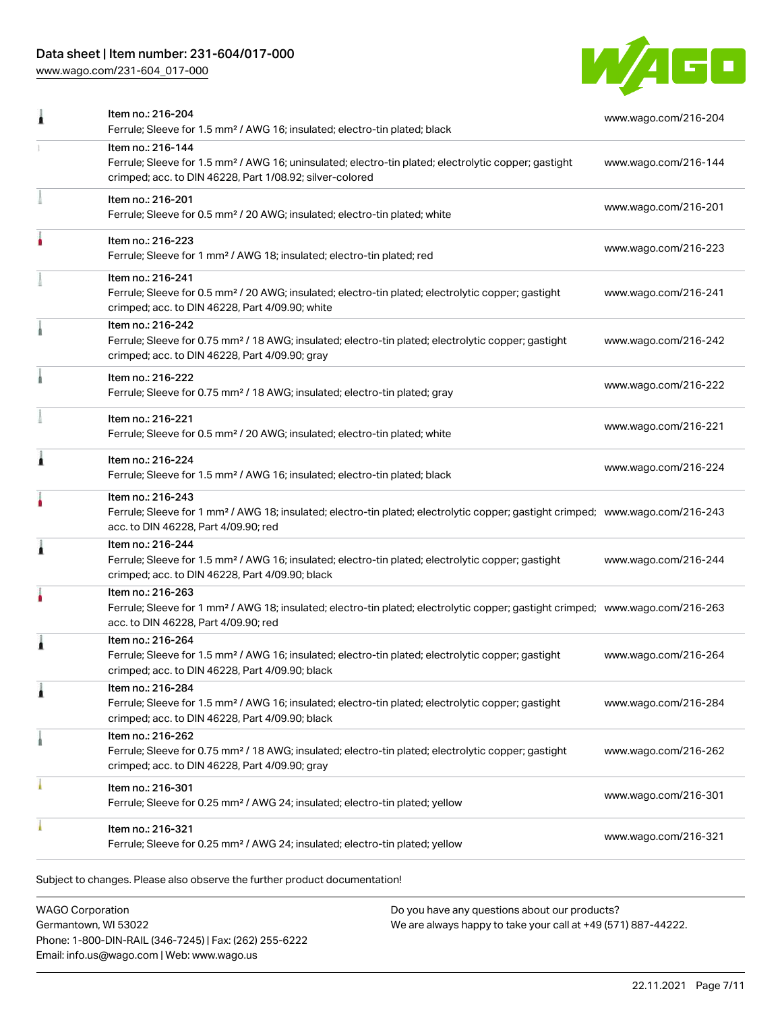# Data sheet | Item number: 231-604/017-000

[www.wago.com/231-604\\_017-000](http://www.wago.com/231-604_017-000)



|   | Ferrule; Sleeve for 1.5 mm <sup>2</sup> / AWG 16; insulated; electro-tin plated; black                                                                                                                  | www.wago.com/216-204 |
|---|---------------------------------------------------------------------------------------------------------------------------------------------------------------------------------------------------------|----------------------|
|   | Item no.: 216-144<br>Ferrule; Sleeve for 1.5 mm <sup>2</sup> / AWG 16; uninsulated; electro-tin plated; electrolytic copper; gastight<br>crimped; acc. to DIN 46228, Part 1/08.92; silver-colored       | www.wago.com/216-144 |
|   | Item no.: 216-201<br>Ferrule; Sleeve for 0.5 mm <sup>2</sup> / 20 AWG; insulated; electro-tin plated; white                                                                                             | www.wago.com/216-201 |
|   | Item no.: 216-223<br>Ferrule; Sleeve for 1 mm <sup>2</sup> / AWG 18; insulated; electro-tin plated; red                                                                                                 | www.wago.com/216-223 |
|   | Item no.: 216-241<br>Ferrule; Sleeve for 0.5 mm <sup>2</sup> / 20 AWG; insulated; electro-tin plated; electrolytic copper; gastight<br>crimped; acc. to DIN 46228, Part 4/09.90; white                  | www.wago.com/216-241 |
|   | Item no.: 216-242<br>Ferrule; Sleeve for 0.75 mm <sup>2</sup> / 18 AWG; insulated; electro-tin plated; electrolytic copper; gastight<br>crimped; acc. to DIN 46228, Part 4/09.90; gray                  | www.wago.com/216-242 |
|   | Item no.: 216-222<br>Ferrule; Sleeve for 0.75 mm <sup>2</sup> / 18 AWG; insulated; electro-tin plated; gray                                                                                             | www.wago.com/216-222 |
|   | Item no.: 216-221<br>Ferrule; Sleeve for 0.5 mm <sup>2</sup> / 20 AWG; insulated; electro-tin plated; white                                                                                             | www.wago.com/216-221 |
| Â | Item no.: 216-224<br>Ferrule; Sleeve for 1.5 mm <sup>2</sup> / AWG 16; insulated; electro-tin plated; black                                                                                             | www.wago.com/216-224 |
|   | Item no.: 216-243<br>Ferrule; Sleeve for 1 mm <sup>2</sup> / AWG 18; insulated; electro-tin plated; electrolytic copper; gastight crimped; www.wago.com/216-243<br>acc. to DIN 46228, Part 4/09.90; red |                      |
| j | Item no.: 216-244<br>Ferrule; Sleeve for 1.5 mm <sup>2</sup> / AWG 16; insulated; electro-tin plated; electrolytic copper; gastight<br>crimped; acc. to DIN 46228, Part 4/09.90; black                  | www.wago.com/216-244 |
|   | Item no.: 216-263<br>Ferrule; Sleeve for 1 mm <sup>2</sup> / AWG 18; insulated; electro-tin plated; electrolytic copper; gastight crimped; www.wago.com/216-263<br>acc. to DIN 46228, Part 4/09.90; red |                      |
| Â | Item no.: 216-264<br>Ferrule; Sleeve for 1.5 mm <sup>2</sup> / AWG 16; insulated; electro-tin plated; electrolytic copper; gastight<br>crimped; acc. to DIN 46228, Part 4/09.90; black                  | www.wago.com/216-264 |
|   | Item no.: 216-284<br>Ferrule; Sleeve for 1.5 mm <sup>2</sup> / AWG 16; insulated; electro-tin plated; electrolytic copper; gastight<br>crimped; acc. to DIN 46228, Part 4/09.90; black                  | www.wago.com/216-284 |
|   | Item no.: 216-262<br>Ferrule; Sleeve for 0.75 mm <sup>2</sup> / 18 AWG; insulated; electro-tin plated; electrolytic copper; gastight<br>crimped; acc. to DIN 46228, Part 4/09.90; gray                  | www.wago.com/216-262 |
|   | Item no.: 216-301<br>Ferrule; Sleeve for 0.25 mm <sup>2</sup> / AWG 24; insulated; electro-tin plated; yellow                                                                                           | www.wago.com/216-301 |
|   | Item no.: 216-321<br>Ferrule; Sleeve for 0.25 mm <sup>2</sup> / AWG 24; insulated; electro-tin plated; yellow                                                                                           | www.wago.com/216-321 |
|   |                                                                                                                                                                                                         |                      |

Subject to changes. Please also observe the further product documentation!

WAGO Corporation Germantown, WI 53022 Phone: 1-800-DIN-RAIL (346-7245) | Fax: (262) 255-6222 Email: info.us@wago.com | Web: www.wago.us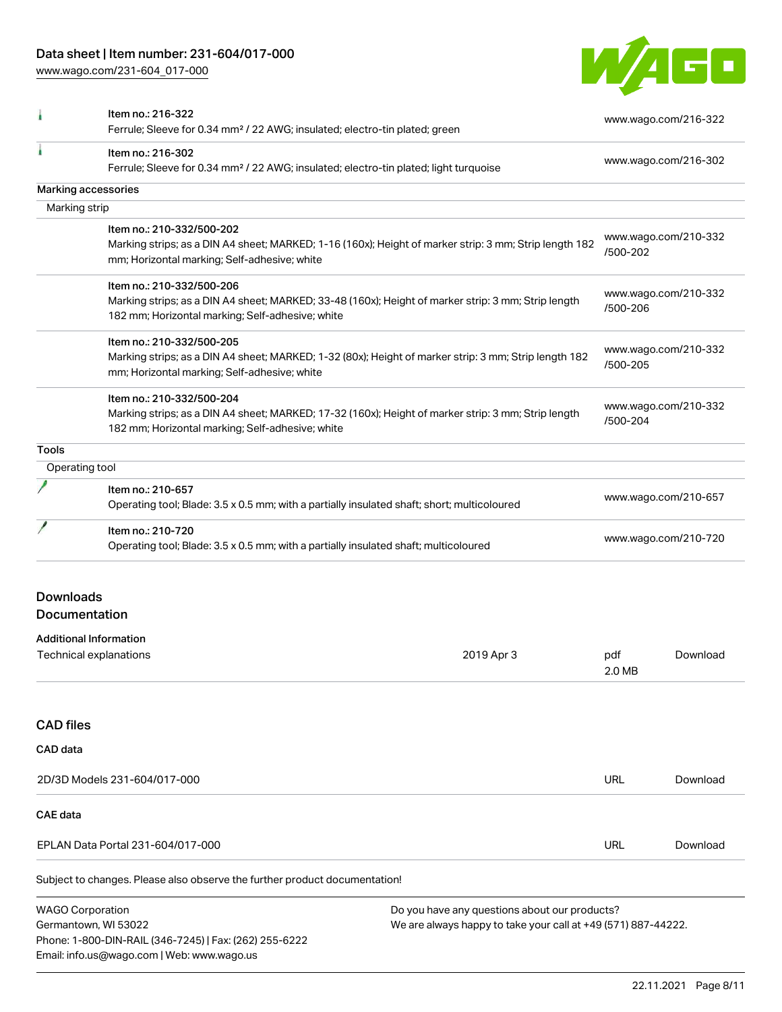[www.wago.com/231-604\\_017-000](http://www.wago.com/231-604_017-000)



|                                                                                                           | Item no.: 216-322<br>Ferrule; Sleeve for 0.34 mm <sup>2</sup> / 22 AWG; insulated; electro-tin plated; green                                                                         |                                                                                                                |                      | www.wago.com/216-322 |  |
|-----------------------------------------------------------------------------------------------------------|--------------------------------------------------------------------------------------------------------------------------------------------------------------------------------------|----------------------------------------------------------------------------------------------------------------|----------------------|----------------------|--|
|                                                                                                           | Item no.: 216-302<br>Ferrule; Sleeve for 0.34 mm <sup>2</sup> / 22 AWG; insulated; electro-tin plated; light turquoise                                                               |                                                                                                                |                      | www.wago.com/216-302 |  |
|                                                                                                           | Marking accessories                                                                                                                                                                  |                                                                                                                |                      |                      |  |
| Marking strip                                                                                             |                                                                                                                                                                                      |                                                                                                                |                      |                      |  |
|                                                                                                           | Item no.: 210-332/500-202<br>Marking strips; as a DIN A4 sheet; MARKED; 1-16 (160x); Height of marker strip: 3 mm; Strip length 182<br>mm; Horizontal marking; Self-adhesive; white  |                                                                                                                | /500-202             | www.wago.com/210-332 |  |
|                                                                                                           | Item no.: 210-332/500-206<br>Marking strips; as a DIN A4 sheet; MARKED; 33-48 (160x); Height of marker strip: 3 mm; Strip length<br>182 mm; Horizontal marking; Self-adhesive; white |                                                                                                                | /500-206             | www.wago.com/210-332 |  |
|                                                                                                           | Item no.: 210-332/500-205<br>Marking strips; as a DIN A4 sheet; MARKED; 1-32 (80x); Height of marker strip: 3 mm; Strip length 182<br>mm; Horizontal marking; Self-adhesive; white   |                                                                                                                | /500-205             | www.wago.com/210-332 |  |
|                                                                                                           | Item no.: 210-332/500-204<br>Marking strips; as a DIN A4 sheet; MARKED; 17-32 (160x); Height of marker strip: 3 mm; Strip length<br>182 mm; Horizontal marking; Self-adhesive; white |                                                                                                                | /500-204             | www.wago.com/210-332 |  |
| <b>Tools</b>                                                                                              |                                                                                                                                                                                      |                                                                                                                |                      |                      |  |
| Operating tool                                                                                            |                                                                                                                                                                                      |                                                                                                                |                      |                      |  |
|                                                                                                           | Item no.: 210-657<br>Operating tool; Blade: 3.5 x 0.5 mm; with a partially insulated shaft; short; multicoloured                                                                     |                                                                                                                |                      | www.wago.com/210-657 |  |
| Item no.: 210-720<br>Operating tool; Blade: 3.5 x 0.5 mm; with a partially insulated shaft; multicoloured |                                                                                                                                                                                      |                                                                                                                | www.wago.com/210-720 |                      |  |
| <b>Downloads</b>                                                                                          |                                                                                                                                                                                      |                                                                                                                |                      |                      |  |
| Documentation                                                                                             |                                                                                                                                                                                      |                                                                                                                |                      |                      |  |
|                                                                                                           | <b>Additional Information</b>                                                                                                                                                        |                                                                                                                |                      |                      |  |
|                                                                                                           | Technical explanations                                                                                                                                                               | 2019 Apr 3                                                                                                     | pdf<br>2.0 MB        | Download             |  |
| <b>CAD files</b>                                                                                          |                                                                                                                                                                                      |                                                                                                                |                      |                      |  |
| CAD data                                                                                                  |                                                                                                                                                                                      |                                                                                                                |                      |                      |  |
|                                                                                                           | 2D/3D Models 231-604/017-000                                                                                                                                                         |                                                                                                                | URL                  | Download             |  |
| CAE data                                                                                                  |                                                                                                                                                                                      |                                                                                                                |                      |                      |  |
|                                                                                                           | EPLAN Data Portal 231-604/017-000                                                                                                                                                    |                                                                                                                | URL                  | Download             |  |
|                                                                                                           | Subject to changes. Please also observe the further product documentation!                                                                                                           |                                                                                                                |                      |                      |  |
| <b>WAGO Corporation</b>                                                                                   | Germantown, WI 53022<br>Phone: 1-800-DIN-RAIL (346-7245)   Fax: (262) 255-6222<br>Email: info.us@wago.com   Web: www.wago.us                                                         | Do you have any questions about our products?<br>We are always happy to take your call at +49 (571) 887-44222. |                      |                      |  |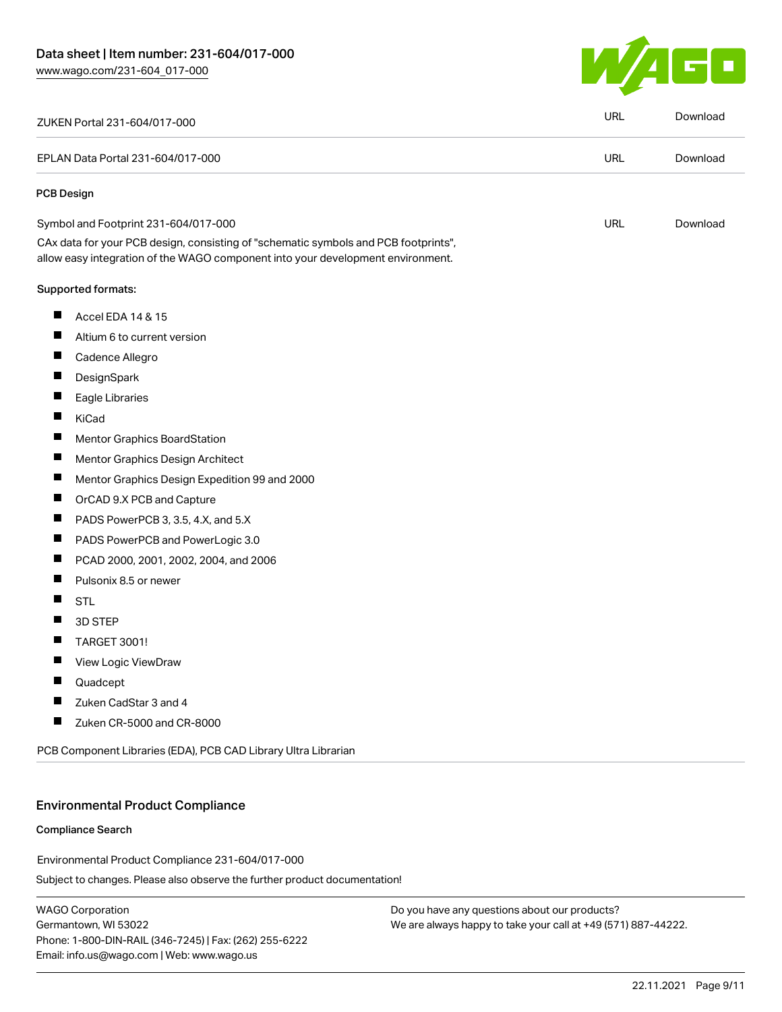

|                    | ZUKEN Portal 231-604/017-000                                                                                                                                           | <b>URL</b> | Download |
|--------------------|------------------------------------------------------------------------------------------------------------------------------------------------------------------------|------------|----------|
|                    | EPLAN Data Portal 231-604/017-000                                                                                                                                      | <b>URL</b> | Download |
| <b>PCB Design</b>  |                                                                                                                                                                        |            |          |
|                    | Symbol and Footprint 231-604/017-000                                                                                                                                   | <b>URL</b> | Download |
|                    | CAx data for your PCB design, consisting of "schematic symbols and PCB footprints",<br>allow easy integration of the WAGO component into your development environment. |            |          |
| Supported formats: |                                                                                                                                                                        |            |          |
| ш                  | Accel EDA 14 & 15                                                                                                                                                      |            |          |
| ш                  | Altium 6 to current version                                                                                                                                            |            |          |
| ш                  | Cadence Allegro                                                                                                                                                        |            |          |
|                    | DesignSpark                                                                                                                                                            |            |          |
| ш                  | Eagle Libraries                                                                                                                                                        |            |          |
| ш<br>KiCad         |                                                                                                                                                                        |            |          |
| ш                  | Mentor Graphics BoardStation                                                                                                                                           |            |          |
| ш                  | Mentor Graphics Design Architect                                                                                                                                       |            |          |
| ш                  | Mentor Graphics Design Expedition 99 and 2000                                                                                                                          |            |          |
| ш                  | OrCAD 9.X PCB and Capture                                                                                                                                              |            |          |
| ш                  | PADS PowerPCB 3, 3.5, 4.X, and 5.X                                                                                                                                     |            |          |
| ш                  | PADS PowerPCB and PowerLogic 3.0                                                                                                                                       |            |          |
| ш                  | PCAD 2000, 2001, 2002, 2004, and 2006                                                                                                                                  |            |          |
| ш                  | Pulsonix 8.5 or newer                                                                                                                                                  |            |          |
| <b>STL</b><br>ш    |                                                                                                                                                                        |            |          |
|                    | 3D STEP                                                                                                                                                                |            |          |
| ш                  | <b>TARGET 3001!</b>                                                                                                                                                    |            |          |
|                    | View Logic ViewDraw                                                                                                                                                    |            |          |
|                    | Quadcept                                                                                                                                                               |            |          |
|                    | Zuken CadStar 3 and 4                                                                                                                                                  |            |          |
|                    | Zuken CR-5000 and CR-8000                                                                                                                                              |            |          |
|                    | PCB Component Libraries (EDA), PCB CAD Library Ultra Librarian                                                                                                         |            |          |

### Environmental Product Compliance

#### Compliance Search

Environmental Product Compliance 231-604/017-000

Subject to changes. Please also observe the further product documentation!

WAGO Corporation Germantown, WI 53022 Phone: 1-800-DIN-RAIL (346-7245) | Fax: (262) 255-6222 Email: info.us@wago.com | Web: www.wago.us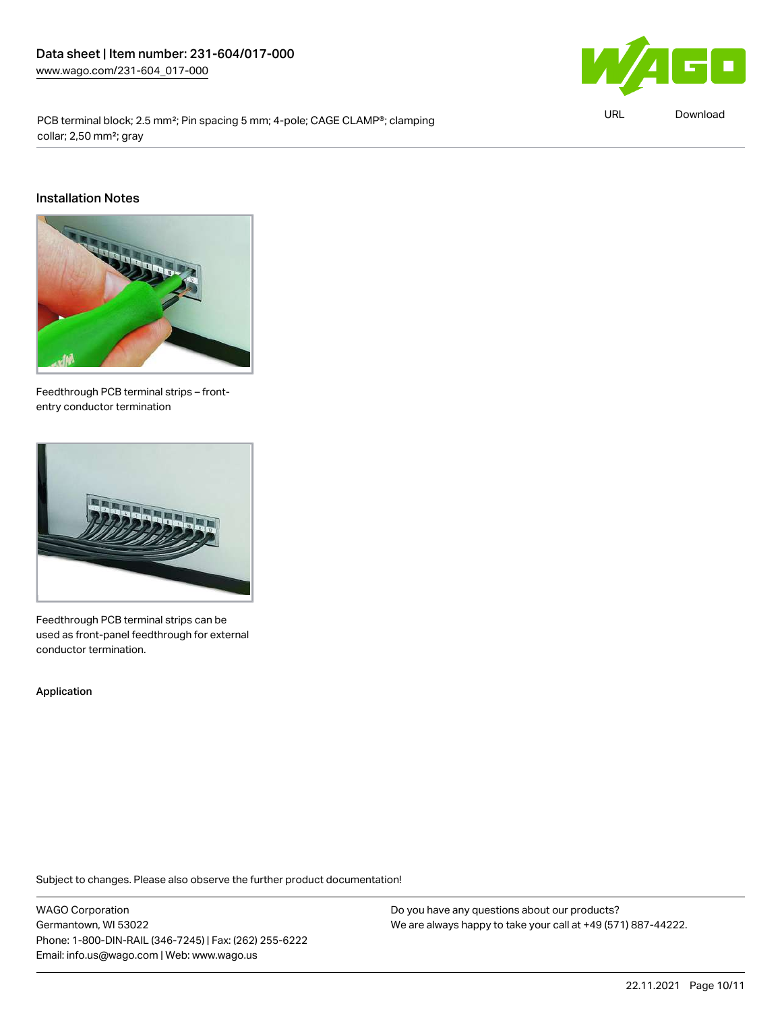

PCB terminal block; 2.5 mm<sup>2</sup>; Pin spacing 5 mm; 4-pole; CAGE CLAMP®; clamping collar; 2,50 mm²; gray

URL [Download](https://www.wago.com/global/d/ComplianceLinkMediaContainer_231-604_017-000)

#### Installation Notes



Feedthrough PCB terminal strips – frontentry conductor termination



Feedthrough PCB terminal strips can be used as front-panel feedthrough for external conductor termination.

Application

Subject to changes. Please also observe the further product documentation!

WAGO Corporation Germantown, WI 53022 Phone: 1-800-DIN-RAIL (346-7245) | Fax: (262) 255-6222 Email: info.us@wago.com | Web: www.wago.us